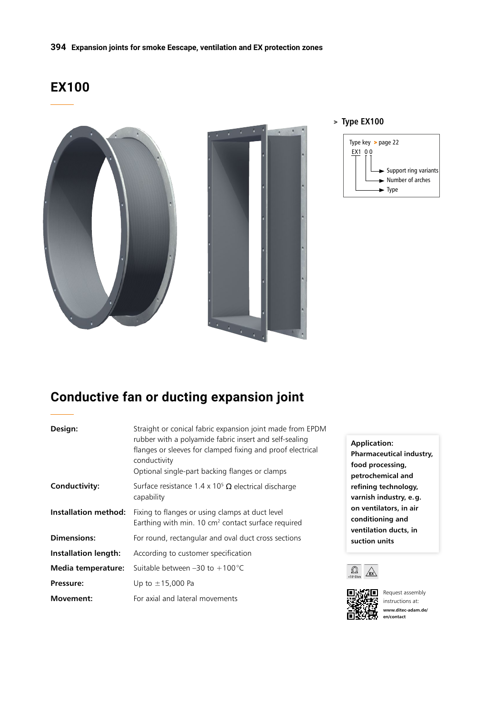# **EX100**



#### > **Type EX100**



# **Conductive fan or ducting expansion joint**

| Design:                     | Straight or conical fabric expansion joint made from EPDM<br>rubber with a polyamide fabric insert and self-sealing<br>flanges or sleeves for clamped fixing and proof electrical<br>conductivity<br>Optional single-part backing flanges or clamps | <b>Application:</b><br><b>Pharmaceutical industi</b><br>food processing,<br>petrochemical and                                          |  |
|-----------------------------|-----------------------------------------------------------------------------------------------------------------------------------------------------------------------------------------------------------------------------------------------------|----------------------------------------------------------------------------------------------------------------------------------------|--|
| Conductivity:               | Surface resistance 1.4 x 10 <sup>5</sup> $\Omega$ electrical discharge<br>capability                                                                                                                                                                | refining technology,<br>varnish industry, e.g.<br>on ventilators, in air<br>conditioning and<br>ventilation ducts, in<br>suction units |  |
| <b>Installation method:</b> | Fixing to flanges or using clamps at duct level<br>Earthing with min. 10 $cm2$ contact surface required                                                                                                                                             |                                                                                                                                        |  |
| <b>Dimensions:</b>          | For round, rectangular and oval duct cross sections                                                                                                                                                                                                 |                                                                                                                                        |  |
| <b>Installation length:</b> | According to customer specification                                                                                                                                                                                                                 |                                                                                                                                        |  |
| Media temperature:          | Suitable between $-30$ to $+100^{\circ}$ C                                                                                                                                                                                                          |                                                                                                                                        |  |
| Pressure:                   | Up to $\pm$ 15,000 Pa                                                                                                                                                                                                                               |                                                                                                                                        |  |
| <b>Movement:</b>            | For axial and lateral movements                                                                                                                                                                                                                     | Request assembly<br>instructions at:                                                                                                   |  |

**Application: Pharmaceutical industry, food processing, petrochemical and refining technology, varnish industry, e.g. on ventilators, in air conditioning and ventilation ducts, in suction units**





instructions at: **www.ditec-adam.de/ en/contact**